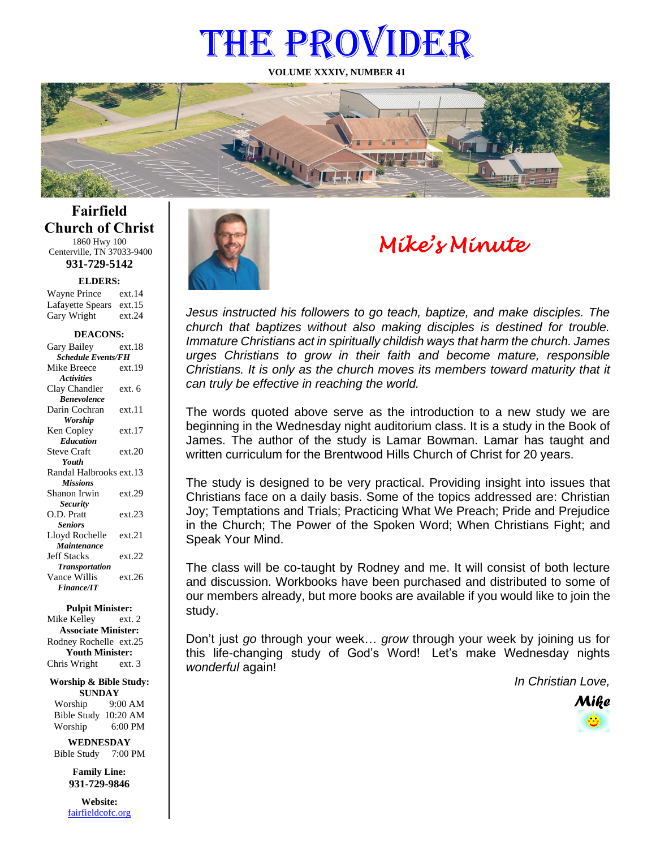# THE PROVIDER

**VOLUME XXXIV, NUMBER 41**



**Fairfield Church of Christ** 1860 Hwy 100 Centerville, TN 37033-9400

**931-729-5142**

Gary Wright ext.24 **ELDERS:** Wayne Prince ext.14 Lafayette Spears ext.15

#### **DEACONS:**

| Gary Bailey                      | ext.18 |  |
|----------------------------------|--------|--|
| <b>Schedule Events/FH</b>        |        |  |
| Mike Breece                      | ext.19 |  |
| <b>Activities</b>                |        |  |
| Clay Chandler                    | ext. 6 |  |
| <b><i><u>Renevolence</u></i></b> |        |  |
| Darin Cochran                    | ext.11 |  |
| Worship                          |        |  |
| Ken Copley                       | ext.17 |  |
| <b>Education</b>                 |        |  |
| <b>Steve Craft</b>               | ext.20 |  |
| Youth                            |        |  |
| Randal Halbrooks ext.13          |        |  |
| <b>Missions</b>                  |        |  |
| Shanon Irwin                     | ext.29 |  |
| <b>Security</b>                  |        |  |
| O.D. Pratt                       | ext.23 |  |
| <b>Seniors</b>                   |        |  |
| Lloyd Rochelle                   | ext.21 |  |
| Maintenance                      |        |  |
| <b>Jeff Stacks</b>               | ext.22 |  |
| <b>Transportation</b>            |        |  |
| Vance Willis                     | ext.26 |  |
| <b>Finance/IT</b>                |        |  |
|                                  |        |  |

#### **Pulpit Minister:**

Mike Kelley ext. 2 **Associate Minister:** Rodney Rochelle ext.25 **Youth Minister:** Chris Wright ext. 3

**Worship & Bible Study: SUNDAY** Worship 9:00 AM

Bible Study 10:20 AM Worship 6:00 PM

**WEDNESDAY** Bible Study 7:00 PM

> **Family Line: 931-729-9846**

**Website:** [fairfieldcofc.org](file:///C:/Users/RickJoyce/Documents/Fairfield%20Website%20Files/fairfieldchurchofchrist.org)



# *Mike's Minute*

*Jesus instructed his followers to go teach, baptize, and make disciples. The church that baptizes without also making disciples is destined for trouble. Immature Christians act in spiritually childish ways that harm the church. James urges Christians to grow in their faith and become mature, responsible Christians. It is only as the church moves its members toward maturity that it can truly be effective in reaching the world.*

The words quoted above serve as the introduction to a new study we are beginning in the Wednesday night auditorium class. It is a study in the Book of James. The author of the study is Lamar Bowman. Lamar has taught and written curriculum for the Brentwood Hills Church of Christ for 20 years.

The study is designed to be very practical. Providing insight into issues that Christians face on a daily basis. Some of the topics addressed are: Christian Joy; Temptations and Trials; Practicing What We Preach; Pride and Prejudice in the Church; The Power of the Spoken Word; When Christians Fight; and Speak Your Mind.

The class will be co-taught by Rodney and me. It will consist of both lecture and discussion. Workbooks have been purchased and distributed to some of our members already, but more books are available if you would like to join the study.

Don't just *go* through your week… *grow* through your week by joining us for this life-changing study of God's Word! Let's make Wednesday nights *wonderful* again!

*In Christian Love,*

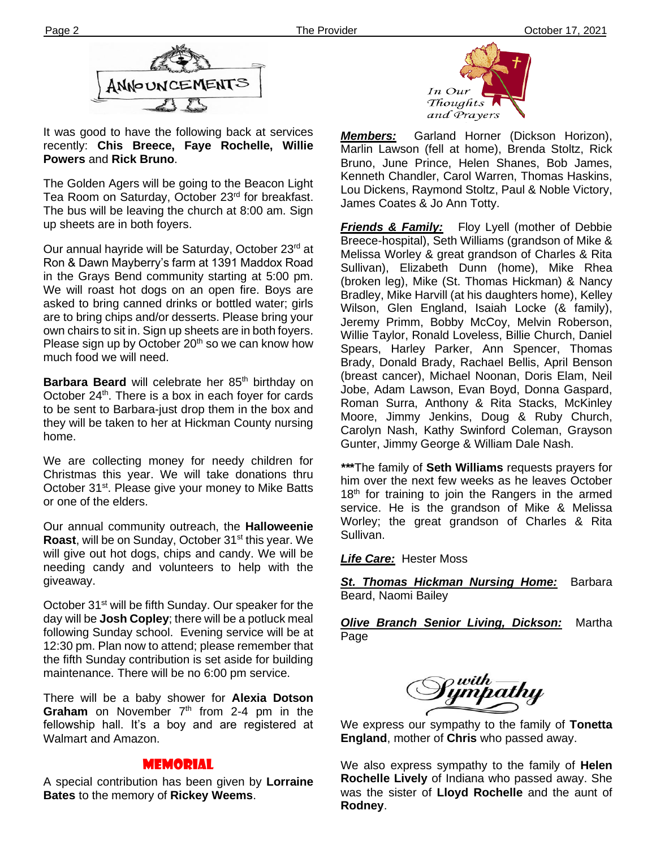

It was good to have the following back at services recently: **Chis Breece, Faye Rochelle, Willie Powers** and **Rick Bruno**.

The bas will be leaving the e The Golden Agers will be going to the Beacon Light Tea Room on Saturday, October 23rd for breakfast. The bus will be leaving the church at 8:00 am. Sign

Our annual hayride will be Saturday, October 23<sup>rd</sup> at Ron & Dawn Mayberry's farm at 1391 Maddox Road in the Grays Bend community starting at 5:00 pm. We will roast hot dogs on an open fire. Boys are asked to bring canned drinks or bottled water; girls are to bring chips and/or desserts. Please bring your own chairs to sit in. Sign up sheets are in both foyers. Please sign up by October  $20<sup>th</sup>$  so we can know how much food we will need.

**Barbara Beard** will celebrate her 85<sup>th</sup> birthday on October 24<sup>th</sup>. There is a box in each foyer for cards to be sent to Barbara-just drop them in the box and they will be taken to her at Hickman County nursing home.

We are collecting money for needy children for Christmas this year. We will take donations thru October 31<sup>st</sup>. Please give your money to Mike Batts or one of the elders.

Our annual community outreach, the **Halloweenie Roast**, will be on Sunday, October 31<sup>st</sup> this year. We will give out hot dogs, chips and candy. We will be needing candy and volunteers to help with the giveaway.

day will be **Josh Copley**; there will be a potluck meal October 31<sup>st</sup> will be fifth Sunday. Our speaker for the following Sunday school. Evening service will be at 12:30 pm. Plan now to attend; please remember that the fifth Sunday contribution is set aside for building maintenance. There will be no 6:00 pm service.

There will be a baby shower for **Alexia Dotson Graham** on November  $7<sup>th</sup>$  from 2-4 pm in the fellowship hall. It's a boy and are registered at Walmart and Amazon.

## MEMORIAL

A special contribution has been given by **Lorraine Bates** to the memory of **Rickey Weems**.



*Members:* Garland Horner (Dickson Horizon), Marlin Lawson (fell at home), Brenda Stoltz, Rick Bruno, June Prince, Helen Shanes, Bob James, Kenneth Chandler, Carol Warren, Thomas Haskins, Lou Dickens, Raymond Stoltz, Paul & Noble Victory, James Coates & Jo Ann Totty.

*Friends & Family:* Floy Lyell (mother of Debbie Breece-hospital), Seth Williams (grandson of Mike & Melissa Worley & great grandson of Charles & Rita Sullivan), Elizabeth Dunn (home), Mike Rhea (broken leg), Mike (St. Thomas Hickman) & Nancy Bradley, Mike Harvill (at his daughters home), Kelley Wilson, Glen England, Isaiah Locke (& family), Jeremy Primm, Bobby McCoy, Melvin Roberson, Willie Taylor, Ronald Loveless, Billie Church, Daniel Spears, Harley Parker, Ann Spencer, Thomas Brady, Donald Brady, Rachael Bellis, April Benson (breast cancer), Michael Noonan, Doris Elam, Neil Jobe, Adam Lawson, Evan Boyd, Donna Gaspard, Roman Surra, Anthony & Rita Stacks, McKinley Moore, Jimmy Jenkins, Doug & Ruby Church, Carolyn Nash, Kathy Swinford Coleman, Grayson Gunter, Jimmy George & William Dale Nash.

*\*\****\***The family of **Seth Williams** requests prayers for him over the next few weeks as he leaves October 18<sup>th</sup> for training to join the Rangers in the armed service. He is the grandson of Mike & Melissa Worley; the great grandson of Charles & Rita Sullivan.

*Life Care:* Hester Moss

*St. Thomas Hickman Nursing Home:* Barbara Beard, Naomi Bailey

*Olive Branch Senior Living, Dickson:* Martha Page



We express our sympathy to the family of **Tonetta England**, mother of **Chris** who passed away.

We also express sympathy to the family of **Helen Rochelle Lively** of Indiana who passed away. She was the sister of **Lloyd Rochelle** and the aunt of **Rodney**.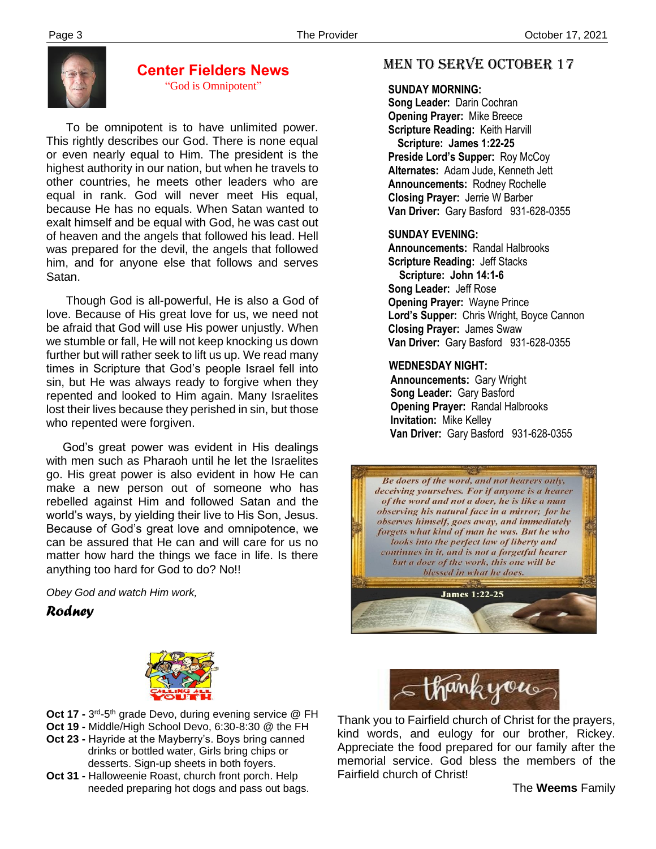

# **Center Fielders News** "God is Omnipotent"

 To be omnipotent is to have unlimited power. This rightly describes our God. There is none equal or even nearly equal to Him. The president is the highest authority in our nation, but when he travels to other countries, he meets other leaders who are equal in rank. God will never meet His equal, because He has no equals. When Satan wanted to exalt himself and be equal with God, he was cast out of heaven and the angels that followed his lead. Hell was prepared for the devil, the angels that followed him, and for anyone else that follows and serves Satan.

 Though God is all-powerful, He is also a God of love. Because of His great love for us, we need not be afraid that God will use His power unjustly. When we stumble or fall, He will not keep knocking us down further but will rather seek to lift us up. We read many times in Scripture that God's people Israel fell into sin, but He was always ready to forgive when they repented and looked to Him again. Many Israelites lost their lives because they perished in sin, but those who repented were forgiven.

 God's great power was evident in His dealings with men such as Pharaoh until he let the Israelites go. His great power is also evident in how He can make a new person out of someone who has rebelled against Him and followed Satan and the world's ways, by yielding their live to His Son, Jesus. Because of God's great love and omnipotence, we can be assured that He can and will care for us no matter how hard the things we face in life. Is there anything too hard for God to do? No!!

*Obey God and watch Him work,*

*Rodney*



- **Oct 17 -** 3<sup>rd</sup>-5<sup>th</sup> grade Devo, during evening service @ FH
- **Oct 19 -** Middle/High School Devo, 6:30-8:30 @ the FH
- **Oct 23 -** Hayride at the Mayberry's. Boys bring canned drinks or bottled water, Girls bring chips or desserts. Sign-up sheets in both foyers.
- **Oct 31 -** Halloweenie Roast, church front porch. Help needed preparing hot dogs and pass out bags.

# MEN TO SERVE October 17

### **SUNDAY MORNING:**

**Song Leader:** Darin Cochran  **Opening Prayer:** Mike Breece **Scripture Reading:** Keith Harvill  **Scripture: James 1:22-25 Preside Lord's Supper:** Roy McCoy  **Alternates:** Adam Jude, Kenneth Jett  **Announcements:** Rodney Rochelle  **Closing Prayer:** Jerrie W Barber **Van Driver:** Gary Basford 931-628-0355

### **SUNDAY EVENING:**

**Announcements:** Randal Halbrooks **Scripture Reading:** Jeff Stacks  **Scripture: John 14:1-6 Song Leader:** Jeff Rose **Opening Prayer:** Wayne Prince **Lord's Supper:** Chris Wright, Boyce Cannon **Closing Prayer:** James Swaw **Van Driver:** Gary Basford 931-628-0355

# **WEDNESDAY NIGHT:**

**Announcements:** Gary Wright **Song Leader:** Gary Basford **Opening Prayer:** Randal Halbrooks **Invitation:** Mike Kelley  **Van Driver:** Gary Basford 931-628-0355





Thank you to Fairfield church of Christ for the prayers, kind words, and eulogy for our brother, Rickey. Appreciate the food prepared for our family after the memorial service. God bless the members of the Fairfield church of Christ!

The **Weems** Family